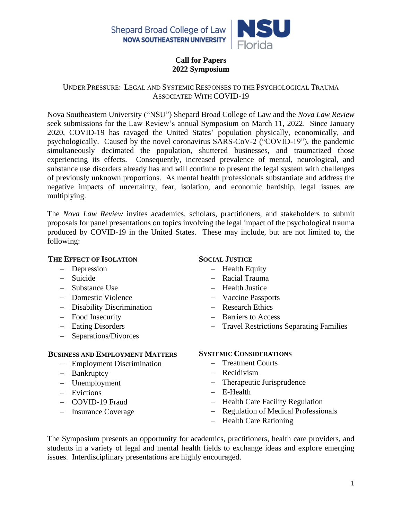

# **Call for Papers 2022 Symposium**

#### UNDER PRESSURE: LEGAL AND SYSTEMIC RESPONSES TO THE PSYCHOLOGICAL TRAUMA ASSOCIATED WITH COVID-19

Nova Southeastern University ("NSU") Shepard Broad College of Law and the *Nova Law Review* seek submissions for the Law Review's annual Symposium on March 11, 2022. Since January 2020, COVID-19 has ravaged the United States' population physically, economically, and psychologically. Caused by the novel coronavirus SARS-CoV-2 ("COVID-19"), the pandemic simultaneously decimated the population, shuttered businesses, and traumatized those experiencing its effects. Consequently, increased prevalence of mental, neurological, and substance use disorders already has and will continue to present the legal system with challenges of previously unknown proportions. As mental health professionals substantiate and address the negative impacts of uncertainty, fear, isolation, and economic hardship, legal issues are multiplying.

The *Nova Law Review* invites academics, scholars, practitioners, and stakeholders to submit proposals for panel presentations on topics involving the legal impact of the psychological trauma produced by COVID-19 in the United States. These may include, but are not limited to, the following:

### **THE EFFECT OF ISOLATION**

- − Depression
- − Suicide
- − Substance Use
- − Domestic Violence
- − Disability Discrimination
- − Food Insecurity
- − Eating Disorders
- − Separations/Divorces

# **BUSINESS AND EMPLOYMENT MATTERS**

- − Employment Discrimination
- − Bankruptcy
- − Unemployment
- − Evictions
- − COVID-19 Fraud
- − Insurance Coverage

# **SOCIAL JUSTICE**

- − Health Equity
- − Racial Trauma
- − Health Justice
- − Vaccine Passports
- − Research Ethics
- − Barriers to Access
- − Travel Restrictions Separating Families

### **SYSTEMIC CONSIDERATIONS**

- − Treatment Courts
- − Recidivism
- − Therapeutic Jurisprudence
- − E-Health
- − Health Care Facility Regulation
- − Regulation of Medical Professionals
- − Health Care Rationing

The Symposium presents an opportunity for academics, practitioners, health care providers, and students in a variety of legal and mental health fields to exchange ideas and explore emerging issues. Interdisciplinary presentations are highly encouraged.